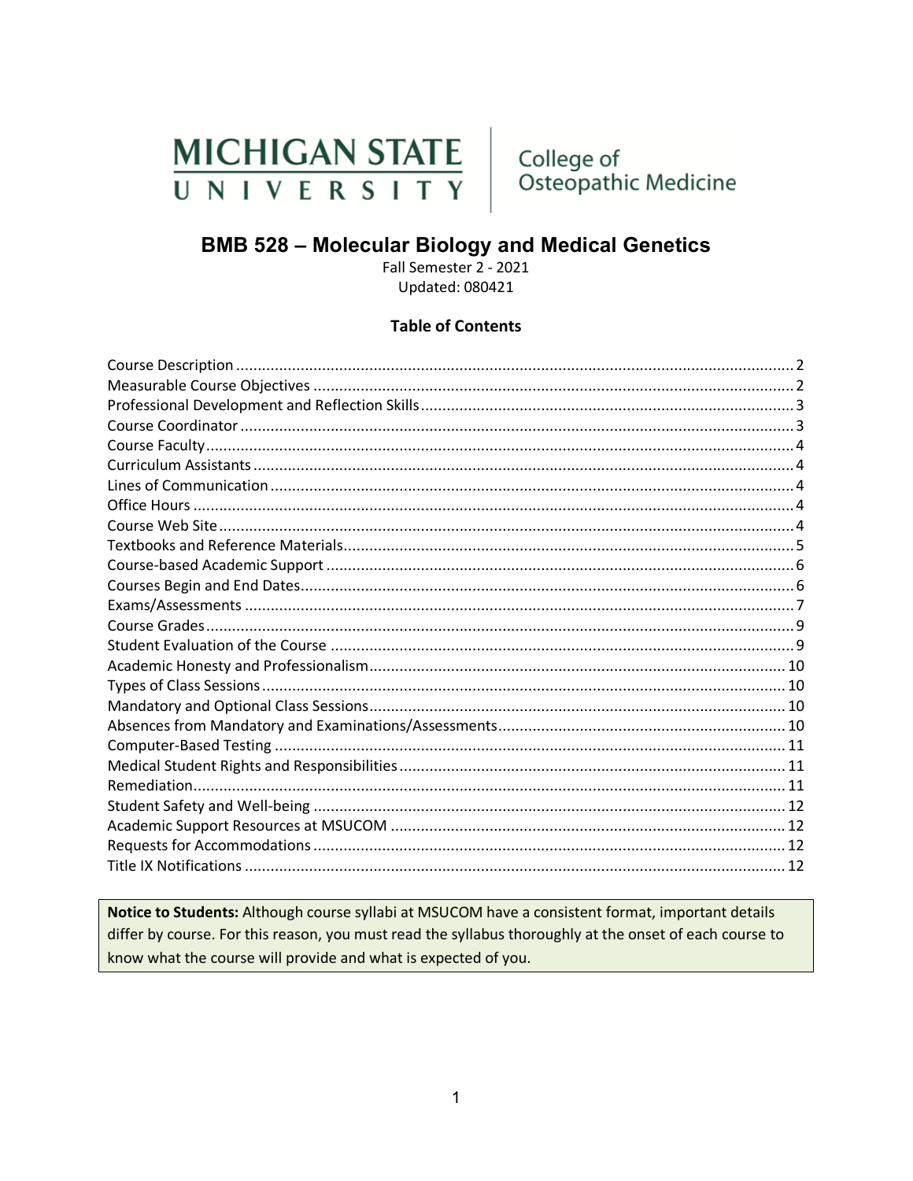# MICHIGAN STATE UNIVERSITY

College of Osteopathic Medicine

# **BMB 528 - Molecular Biology and Medical Genetics**

Fall Semester 2 - 2021 **Updated: 080421** 

#### **Table of Contents**

Notice to Students: Although course syllabi at MSUCOM have a consistent format, important details differ by course. For this reason, you must read the syllabus thoroughly at the onset of each course to know what the course will provide and what is expected of you.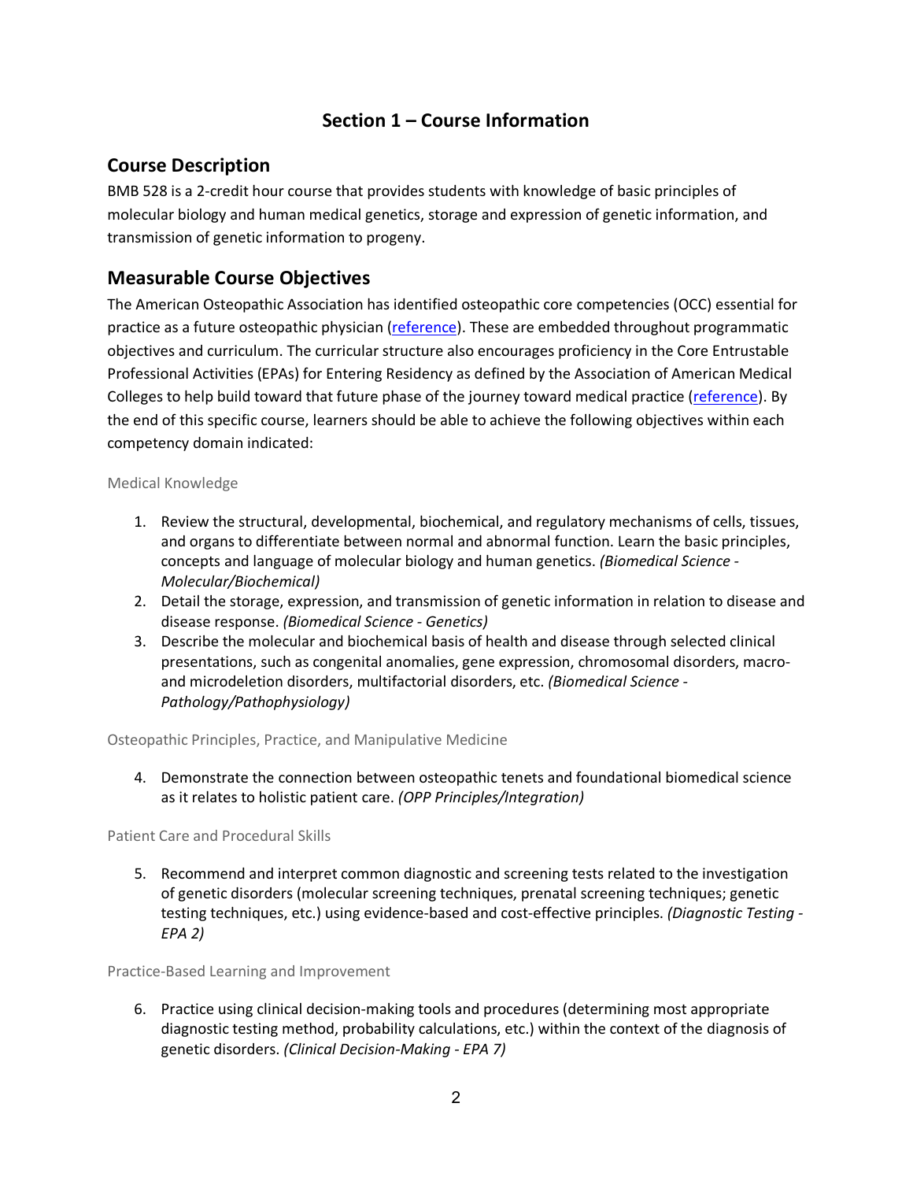# **Section 1 – Course Information**

## <span id="page-1-0"></span>**Course Description**

BMB 528 is a 2-credit hour course that provides students with knowledge of basic principles of molecular biology and human medical genetics, storage and expression of genetic information, and transmission of genetic information to progeny.

## <span id="page-1-1"></span>**Measurable Course Objectives**

The American Osteopathic Association has identified osteopathic core competencies (OCC) essential for practice as a future osteopathic physician [\(reference\)](https://www.aacom.org/docs/default-source/core-competencies/corecompetencyreport2012.pdf?sfvrsn=4). These are embedded throughout programmatic objectives and curriculum. The curricular structure also encourages proficiency in the Core Entrustable Professional Activities (EPAs) for Entering Residency as defined by the Association of American Medical Colleges to help build toward that future phase of the journey toward medical practice [\(reference\)](https://store.aamc.org/downloadable/download/sample/sample_id/66/). By the end of this specific course, learners should be able to achieve the following objectives within each competency domain indicated:

#### Medical Knowledge

- 1. Review the structural, developmental, biochemical, and regulatory mechanisms of cells, tissues, and organs to differentiate between normal and abnormal function. Learn the basic principles, concepts and language of molecular biology and human genetics. *(Biomedical Science - Molecular/Biochemical)*
- 2. Detail the storage, expression, and transmission of genetic information in relation to disease and disease response. *(Biomedical Science - Genetics)*
- 3. Describe the molecular and biochemical basis of health and disease through selected clinical presentations, such as congenital anomalies, gene expression, chromosomal disorders, macroand microdeletion disorders, multifactorial disorders, etc. *(Biomedical Science - Pathology/Pathophysiology)*

Osteopathic Principles, Practice, and Manipulative Medicine

4. Demonstrate the connection between osteopathic tenets and foundational biomedical science as it relates to holistic patient care. *(OPP Principles/Integration)*

Patient Care and Procedural Skills

5. Recommend and interpret common diagnostic and screening tests related to the investigation of genetic disorders (molecular screening techniques, prenatal screening techniques; genetic testing techniques, etc.) using evidence-based and cost-effective principles. *(Diagnostic Testing - EPA 2)*

Practice-Based Learning and Improvement

6. Practice using clinical decision-making tools and procedures (determining most appropriate diagnostic testing method, probability calculations, etc.) within the context of the diagnosis of genetic disorders. *(Clinical Decision-Making - EPA 7)*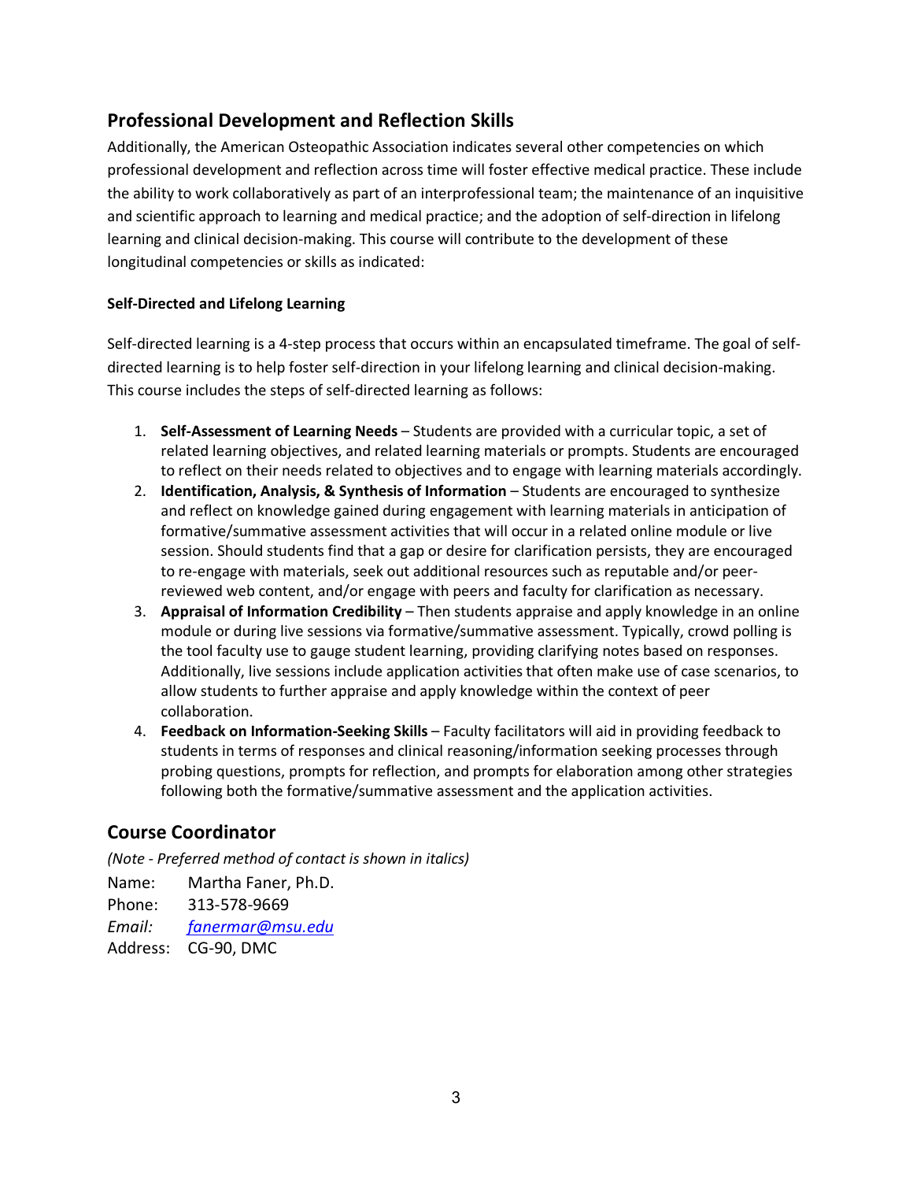# <span id="page-2-0"></span>**Professional Development and Reflection Skills**

Additionally, the American Osteopathic Association indicates several other competencies on which professional development and reflection across time will foster effective medical practice. These include the ability to work collaboratively as part of an interprofessional team; the maintenance of an inquisitive and scientific approach to learning and medical practice; and the adoption of self-direction in lifelong learning and clinical decision-making. This course will contribute to the development of these longitudinal competencies or skills as indicated:

#### **Self-Directed and Lifelong Learning**

Self-directed learning is a 4-step process that occurs within an encapsulated timeframe. The goal of selfdirected learning is to help foster self-direction in your lifelong learning and clinical decision-making. This course includes the steps of self-directed learning as follows:

- 1. **Self-Assessment of Learning Needs** Students are provided with a curricular topic, a set of related learning objectives, and related learning materials or prompts. Students are encouraged to reflect on their needs related to objectives and to engage with learning materials accordingly.
- 2. **Identification, Analysis, & Synthesis of Information** Students are encouraged to synthesize and reflect on knowledge gained during engagement with learning materials in anticipation of formative/summative assessment activities that will occur in a related online module or live session. Should students find that a gap or desire for clarification persists, they are encouraged to re-engage with materials, seek out additional resources such as reputable and/or peerreviewed web content, and/or engage with peers and faculty for clarification as necessary.
- 3. **Appraisal of Information Credibility**  Then students appraise and apply knowledge in an online module or during live sessions via formative/summative assessment. Typically, crowd polling is the tool faculty use to gauge student learning, providing clarifying notes based on responses. Additionally, live sessions include application activities that often make use of case scenarios, to allow students to further appraise and apply knowledge within the context of peer collaboration.
- 4. **Feedback on Information-Seeking Skills** Faculty facilitators will aid in providing feedback to students in terms of responses and clinical reasoning/information seeking processes through probing questions, prompts for reflection, and prompts for elaboration among other strategies following both the formative/summative assessment and the application activities.

## <span id="page-2-1"></span>**Course Coordinator**

*(Note - Preferred method of contact is shown in italics)*

Name: Martha Faner, Ph.D. Phone: 313-578-9669 *Email: [fanermar@msu.edu](mailto:fanermar@msu.edu)* Address: CG-90, DMC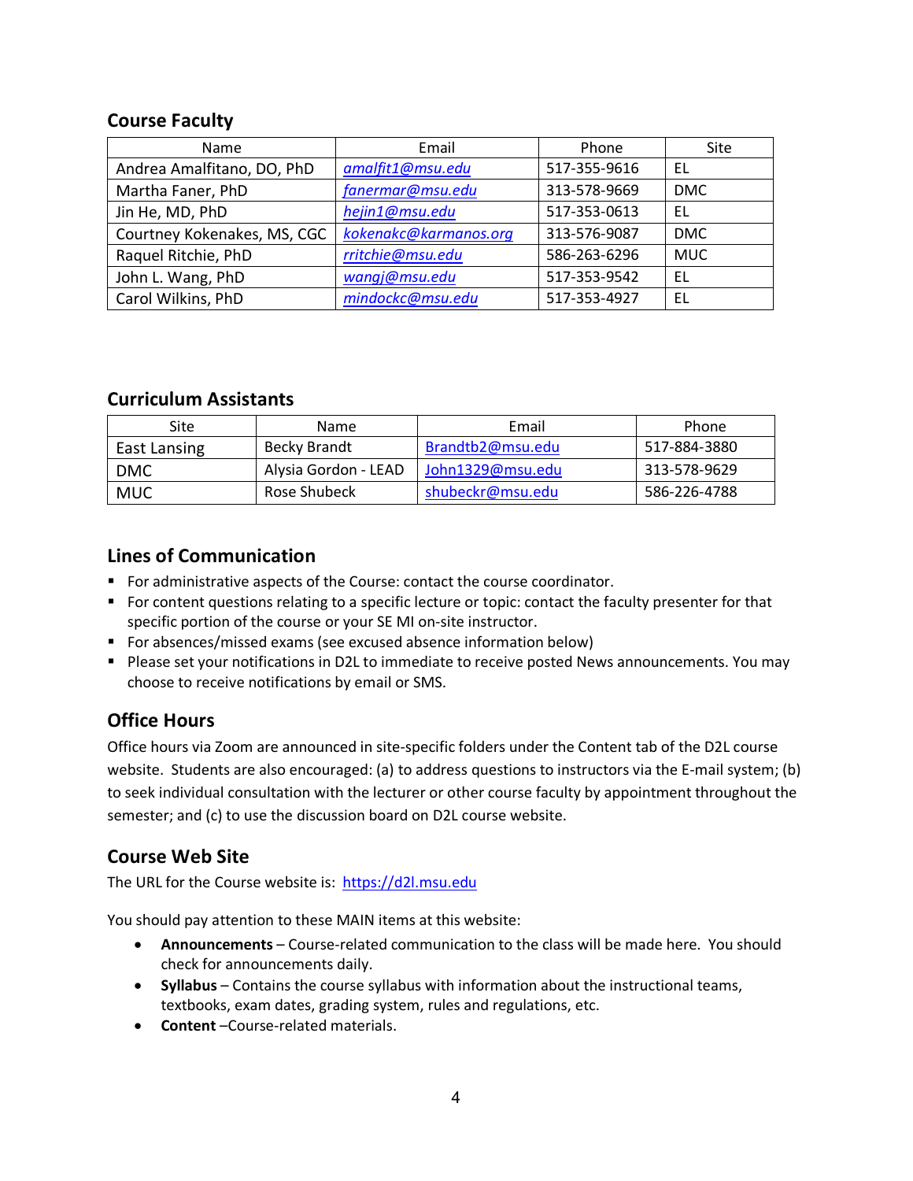## <span id="page-3-0"></span>**Course Faculty**

| Name                        | Email                 | Phone        | Site       |
|-----------------------------|-----------------------|--------------|------------|
| Andrea Amalfitano, DO, PhD  | amalfit1@msu.edu      | 517-355-9616 | EL         |
| Martha Faner, PhD           | fanermar@msu.edu      | 313-578-9669 | <b>DMC</b> |
| Jin He, MD, PhD             | hejin1@msu.edu        | 517-353-0613 | EL         |
| Courtney Kokenakes, MS, CGC | kokenakc@karmanos.org | 313-576-9087 | <b>DMC</b> |
| Raquel Ritchie, PhD         | rritchie@msu.edu      | 586-263-6296 | <b>MUC</b> |
| John L. Wang, PhD           | wangj@msu.edu         | 517-353-9542 | EL         |
| Carol Wilkins, PhD          | mindockc@msu.edu      | 517-353-4927 | EL         |

#### <span id="page-3-1"></span>**Curriculum Assistants**

| Site                | <b>Name</b>          | Email            | Phone        |
|---------------------|----------------------|------------------|--------------|
| <b>East Lansing</b> | Becky Brandt         | Brandtb2@msu.edu | 517-884-3880 |
| DMC                 | Alysia Gordon - LEAD | John1329@msu.edu | 313-578-9629 |
| MUC                 | Rose Shubeck         | shubeckr@msu.edu | 586-226-4788 |

## <span id="page-3-2"></span>**Lines of Communication**

- For administrative aspects of the Course: contact the course coordinator.
- For content questions relating to a specific lecture or topic: contact the faculty presenter for that specific portion of the course or your SE MI on-site instructor.
- **F** For absences/missed exams (see excused absence information below)
- **Please set your notifications in D2L to immediate to receive posted News announcements. You may** choose to receive notifications by email or SMS.

# <span id="page-3-3"></span>**Office Hours**

Office hours via Zoom are announced in site-specific folders under the Content tab of the D2L course website. Students are also encouraged: (a) to address questions to instructors via the E-mail system; (b) to seek individual consultation with the lecturer or other course faculty by appointment throughout the semester; and (c) to use the discussion board on D2L course website.

## <span id="page-3-4"></span>**Course Web Site**

The URL for the Course website is: [https://d2l.msu.edu](https://d2l.msu.edu/)

You should pay attention to these MAIN items at this website:

- **Announcements** Course-related communication to the class will be made here. You should check for announcements daily.
- **Syllabus** Contains the course syllabus with information about the instructional teams, textbooks, exam dates, grading system, rules and regulations, etc.
- **Content** –Course-related materials.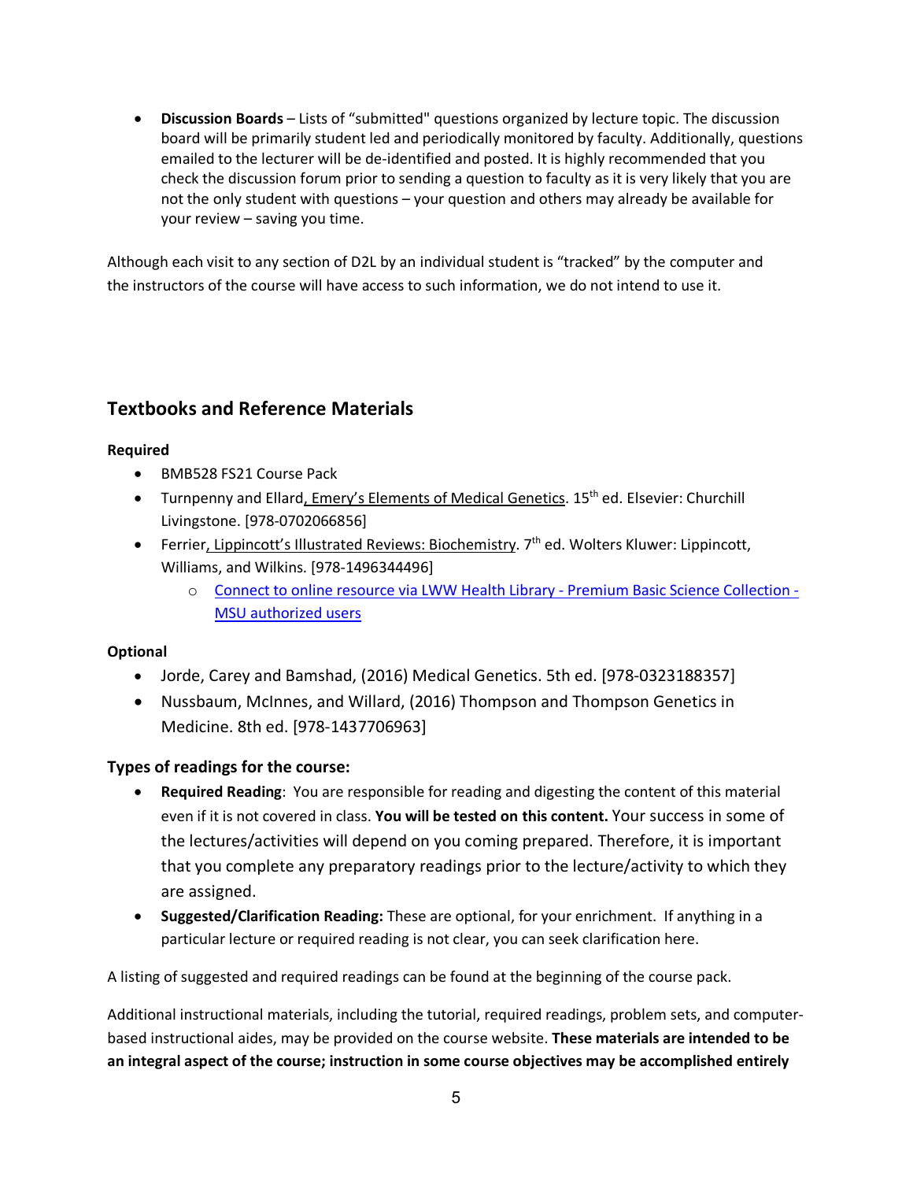• **Discussion Boards** – Lists of "submitted" questions organized by lecture topic. The discussion board will be primarily student led and periodically monitored by faculty. Additionally, questions emailed to the lecturer will be de-identified and posted. It is highly recommended that you check the discussion forum prior to sending a question to faculty as it is very likely that you are not the only student with questions – your question and others may already be available for your review – saving you time.

Although each visit to any section of D2L by an individual student is "tracked" by the computer and the instructors of the course will have access to such information, we do not intend to use it.

# <span id="page-4-0"></span>**Textbooks and Reference Materials**

#### **Required**

- BMB528 FS21 Course Pack
- Turnpenny and Ellard, Emery's Elements of Medical Genetics. 15<sup>th</sup> ed. Elsevier: Churchill Livingstone. [978-0702066856]
- Ferrier, Lippincott's Illustrated Reviews: Biochemistry. 7<sup>th</sup> ed. Wolters Kluwer: Lippincott, Williams, and Wilkins. [978-1496344496]
	- o [Connect to online resource via LWW Health Library -](http://ezproxy.msu.edu/login?url=https://meded.lwwhealthlibrary.com/book.aspx?bookid=1988) Premium Basic Science Collection [MSU authorized users](http://ezproxy.msu.edu/login?url=https://meded.lwwhealthlibrary.com/book.aspx?bookid=1988)

#### **Optional**

- Jorde, Carey and Bamshad, (2016) Medical Genetics. 5th ed. [978-0323188357]
- Nussbaum, McInnes, and Willard, (2016) Thompson and Thompson Genetics in Medicine. 8th ed. [978-1437706963]

#### **Types of readings for the course:**

- **Required Reading**: You are responsible for reading and digesting the content of this material even if it is not covered in class. **You will be tested on this content.** Your success in some of the lectures/activities will depend on you coming prepared. Therefore, it is important that you complete any preparatory readings prior to the lecture/activity to which they are assigned.
- **Suggested/Clarification Reading:** These are optional, for your enrichment. If anything in a particular lecture or required reading is not clear, you can seek clarification here.

A listing of suggested and required readings can be found at the beginning of the course pack.

Additional instructional materials, including the tutorial, required readings, problem sets, and computerbased instructional aides, may be provided on the course website. **These materials are intended to be an integral aspect of the course; instruction in some course objectives may be accomplished entirely**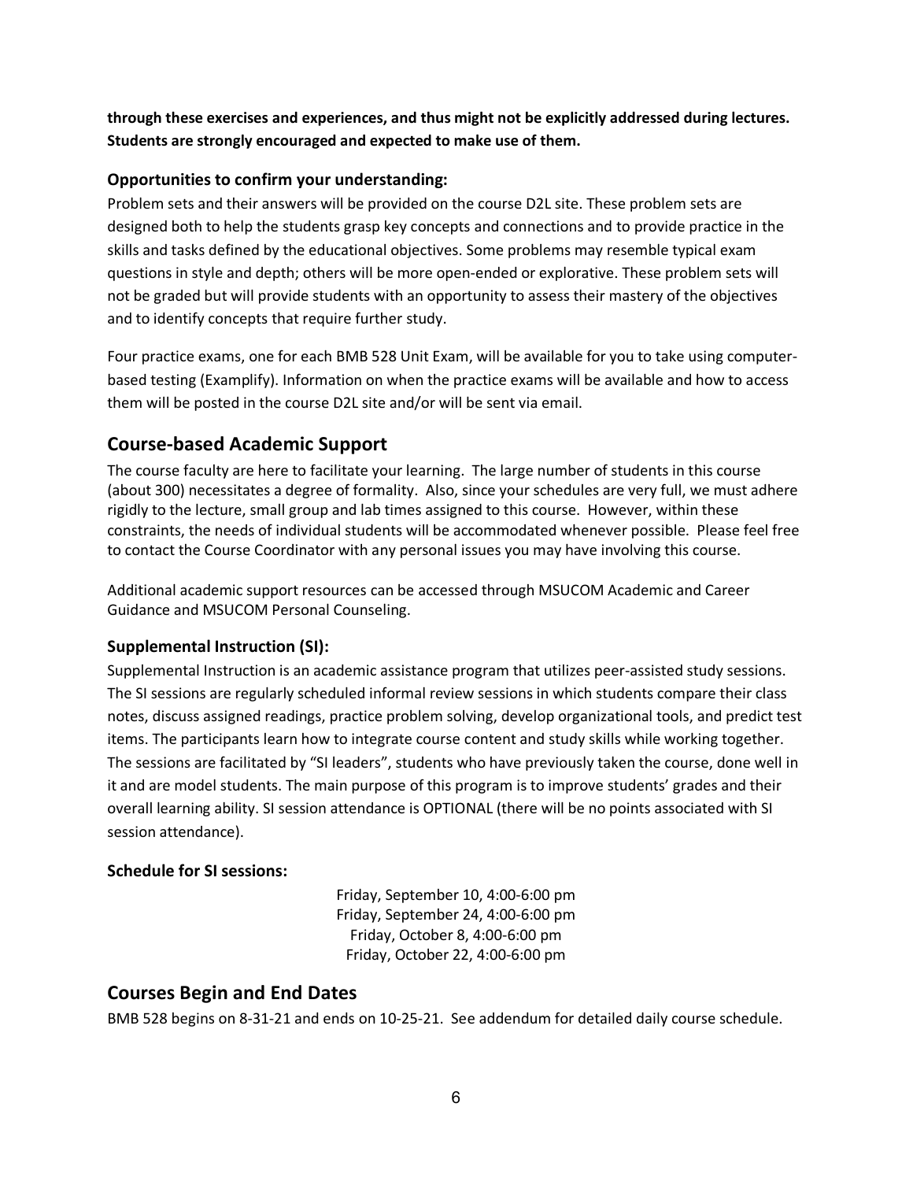**through these exercises and experiences, and thus might not be explicitly addressed during lectures. Students are strongly encouraged and expected to make use of them.**

#### **Opportunities to confirm your understanding:**

Problem sets and their answers will be provided on the course D2L site. These problem sets are designed both to help the students grasp key concepts and connections and to provide practice in the skills and tasks defined by the educational objectives. Some problems may resemble typical exam questions in style and depth; others will be more open-ended or explorative. These problem sets will not be graded but will provide students with an opportunity to assess their mastery of the objectives and to identify concepts that require further study.

Four practice exams, one for each BMB 528 Unit Exam, will be available for you to take using computerbased testing (Examplify). Information on when the practice exams will be available and how to access them will be posted in the course D2L site and/or will be sent via email.

## <span id="page-5-0"></span>**Course-based Academic Support**

The course faculty are here to facilitate your learning. The large number of students in this course (about 300) necessitates a degree of formality. Also, since your schedules are very full, we must adhere rigidly to the lecture, small group and lab times assigned to this course. However, within these constraints, the needs of individual students will be accommodated whenever possible. Please feel free to contact the Course Coordinator with any personal issues you may have involving this course.

Additional academic support resources can be accessed through MSUCOM Academic and Career Guidance and MSUCOM Personal Counseling.

#### **Supplemental Instruction (SI):**

Supplemental Instruction is an academic assistance program that utilizes peer-assisted study sessions. The SI sessions are regularly scheduled informal review sessions in which students compare their class notes, discuss assigned readings, practice problem solving, develop organizational tools, and predict test items. The participants learn how to integrate course content and study skills while working together. The sessions are facilitated by "SI leaders", students who have previously taken the course, done well in it and are model students. The main purpose of this program is to improve students' grades and their overall learning ability. SI session attendance is OPTIONAL (there will be no points associated with SI session attendance).

#### **Schedule for SI sessions:**

Friday, September 10, 4:00-6:00 pm Friday, September 24, 4:00-6:00 pm Friday, October 8, 4:00-6:00 pm Friday, October 22, 4:00-6:00 pm

#### <span id="page-5-1"></span>**Courses Begin and End Dates**

BMB 528 begins on 8-31-21 and ends on 10-25-21. See addendum for detailed daily course schedule.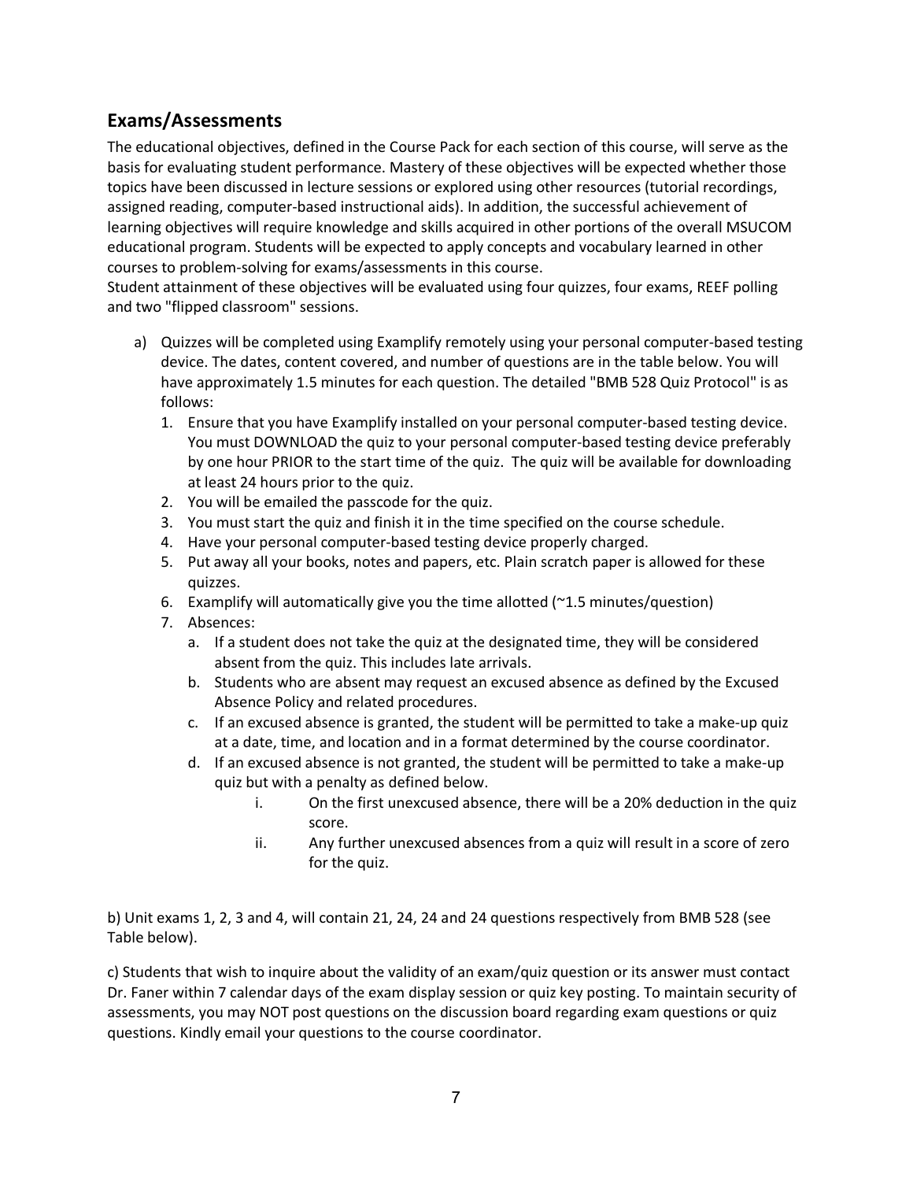# <span id="page-6-0"></span>**Exams/Assessments**

The educational objectives, defined in the Course Pack for each section of this course, will serve as the basis for evaluating student performance. Mastery of these objectives will be expected whether those topics have been discussed in lecture sessions or explored using other resources (tutorial recordings, assigned reading, computer-based instructional aids). In addition, the successful achievement of learning objectives will require knowledge and skills acquired in other portions of the overall MSUCOM educational program. Students will be expected to apply concepts and vocabulary learned in other courses to problem-solving for exams/assessments in this course.

Student attainment of these objectives will be evaluated using four quizzes, four exams, REEF polling and two "flipped classroom" sessions.

- a) Quizzes will be completed using Examplify remotely using your personal computer-based testing device. The dates, content covered, and number of questions are in the table below. You will have approximately 1.5 minutes for each question. The detailed "BMB 528 Quiz Protocol" is as follows:
	- 1. Ensure that you have Examplify installed on your personal computer-based testing device. You must DOWNLOAD the quiz to your personal computer-based testing device preferably by one hour PRIOR to the start time of the quiz. The quiz will be available for downloading at least 24 hours prior to the quiz.
	- 2. You will be emailed the passcode for the quiz.
	- 3. You must start the quiz and finish it in the time specified on the course schedule.
	- 4. Have your personal computer-based testing device properly charged.
	- 5. Put away all your books, notes and papers, etc. Plain scratch paper is allowed for these quizzes.
	- 6. Examplify will automatically give you the time allotted (~1.5 minutes/question)
	- 7. Absences:
		- a. If a student does not take the quiz at the designated time, they will be considered absent from the quiz. This includes late arrivals.
		- b. Students who are absent may request an excused absence as defined by the Excused Absence Policy and related procedures.
		- c. If an excused absence is granted, the student will be permitted to take a make-up quiz at a date, time, and location and in a format determined by the course coordinator.
		- d. If an excused absence is not granted, the student will be permitted to take a make-up quiz but with a penalty as defined below.
			- i. On the first unexcused absence, there will be a 20% deduction in the quiz score.
			- ii. Any further unexcused absences from a quiz will result in a score of zero for the quiz.

b) Unit exams 1, 2, 3 and 4, will contain 21, 24, 24 and 24 questions respectively from BMB 528 (see Table below).

c) Students that wish to inquire about the validity of an exam/quiz question or its answer must contact Dr. Faner within 7 calendar days of the exam display session or quiz key posting. To maintain security of assessments, you may NOT post questions on the discussion board regarding exam questions or quiz questions. Kindly email your questions to the course coordinator.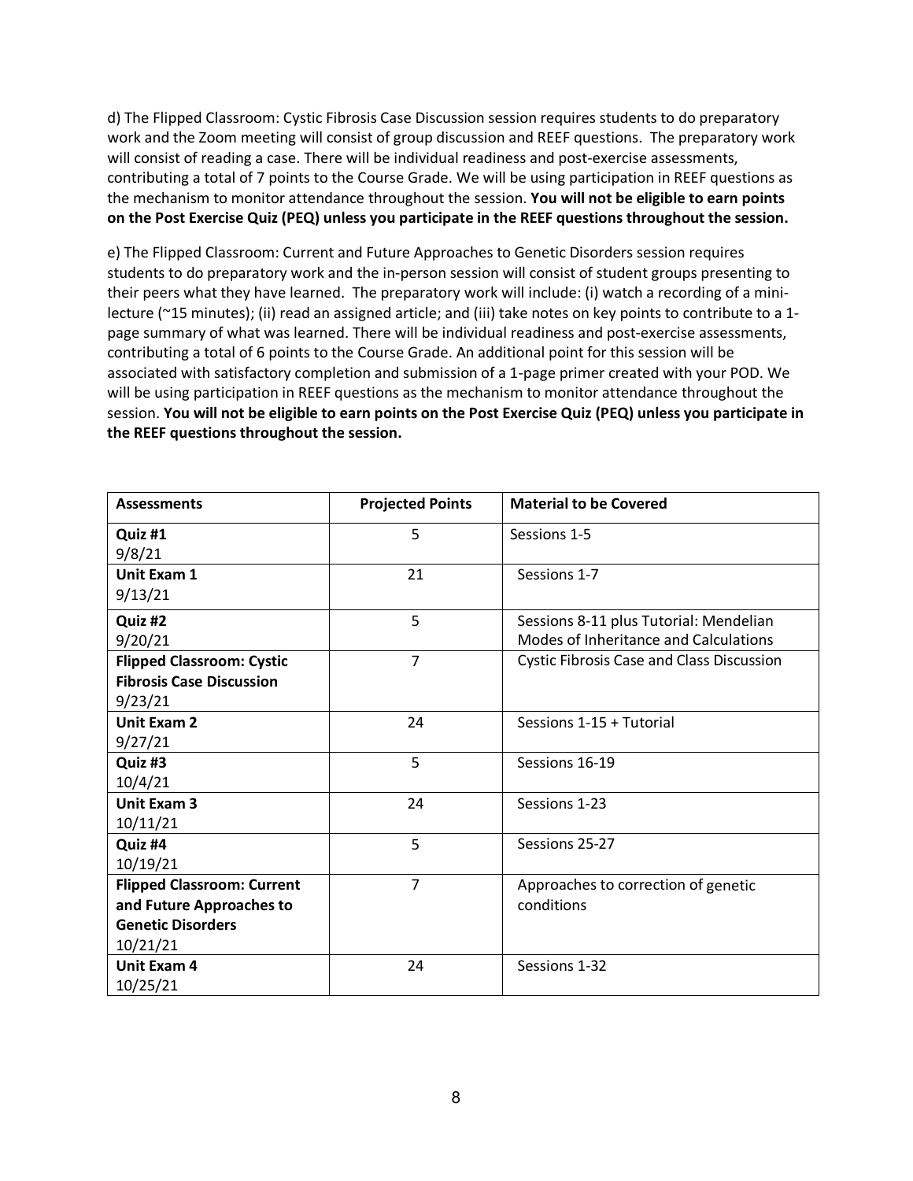d) The Flipped Classroom: Cystic Fibrosis Case Discussion session requires students to do preparatory work and the Zoom meeting will consist of group discussion and REEF questions. The preparatory work will consist of reading a case. There will be individual readiness and post-exercise assessments, contributing a total of 7 points to the Course Grade. We will be using participation in REEF questions as the mechanism to monitor attendance throughout the session. **You will not be eligible to earn points on the Post Exercise Quiz (PEQ) unless you participate in the REEF questions throughout the session.**

e) The Flipped Classroom: Current and Future Approaches to Genetic Disorders session requires students to do preparatory work and the in-person session will consist of student groups presenting to their peers what they have learned. The preparatory work will include: (i) watch a recording of a minilecture (~15 minutes); (ii) read an assigned article; and (iii) take notes on key points to contribute to a 1 page summary of what was learned. There will be individual readiness and post-exercise assessments, contributing a total of 6 points to the Course Grade. An additional point for this session will be associated with satisfactory completion and submission of a 1-page primer created with your POD. We will be using participation in REEF questions as the mechanism to monitor attendance throughout the session. **You will not be eligible to earn points on the Post Exercise Quiz (PEQ) unless you participate in the REEF questions throughout the session.**

| <b>Assessments</b>                | <b>Projected Points</b> | <b>Material to be Covered</b>                    |
|-----------------------------------|-------------------------|--------------------------------------------------|
| Quiz #1                           | 5                       | Sessions 1-5                                     |
| 9/8/21                            |                         |                                                  |
| Unit Exam 1                       | 21                      | Sessions 1-7                                     |
| 9/13/21                           |                         |                                                  |
| Quiz #2                           | 5                       | Sessions 8-11 plus Tutorial: Mendelian           |
| 9/20/21                           |                         | Modes of Inheritance and Calculations            |
| <b>Flipped Classroom: Cystic</b>  | $\overline{7}$          | <b>Cystic Fibrosis Case and Class Discussion</b> |
| <b>Fibrosis Case Discussion</b>   |                         |                                                  |
| 9/23/21                           |                         |                                                  |
| <b>Unit Exam 2</b>                | 24                      | Sessions 1-15 + Tutorial                         |
| 9/27/21                           |                         |                                                  |
| Quiz #3                           | 5                       | Sessions 16-19                                   |
| 10/4/21                           |                         |                                                  |
| <b>Unit Exam 3</b>                | 24                      | Sessions 1-23                                    |
| 10/11/21                          |                         |                                                  |
| Quiz #4                           | 5                       | Sessions 25-27                                   |
| 10/19/21                          |                         |                                                  |
| <b>Flipped Classroom: Current</b> | $\overline{7}$          | Approaches to correction of genetic              |
| and Future Approaches to          |                         | conditions                                       |
| <b>Genetic Disorders</b>          |                         |                                                  |
| 10/21/21                          |                         |                                                  |
| <b>Unit Exam 4</b>                | 24                      | Sessions 1-32                                    |
| 10/25/21                          |                         |                                                  |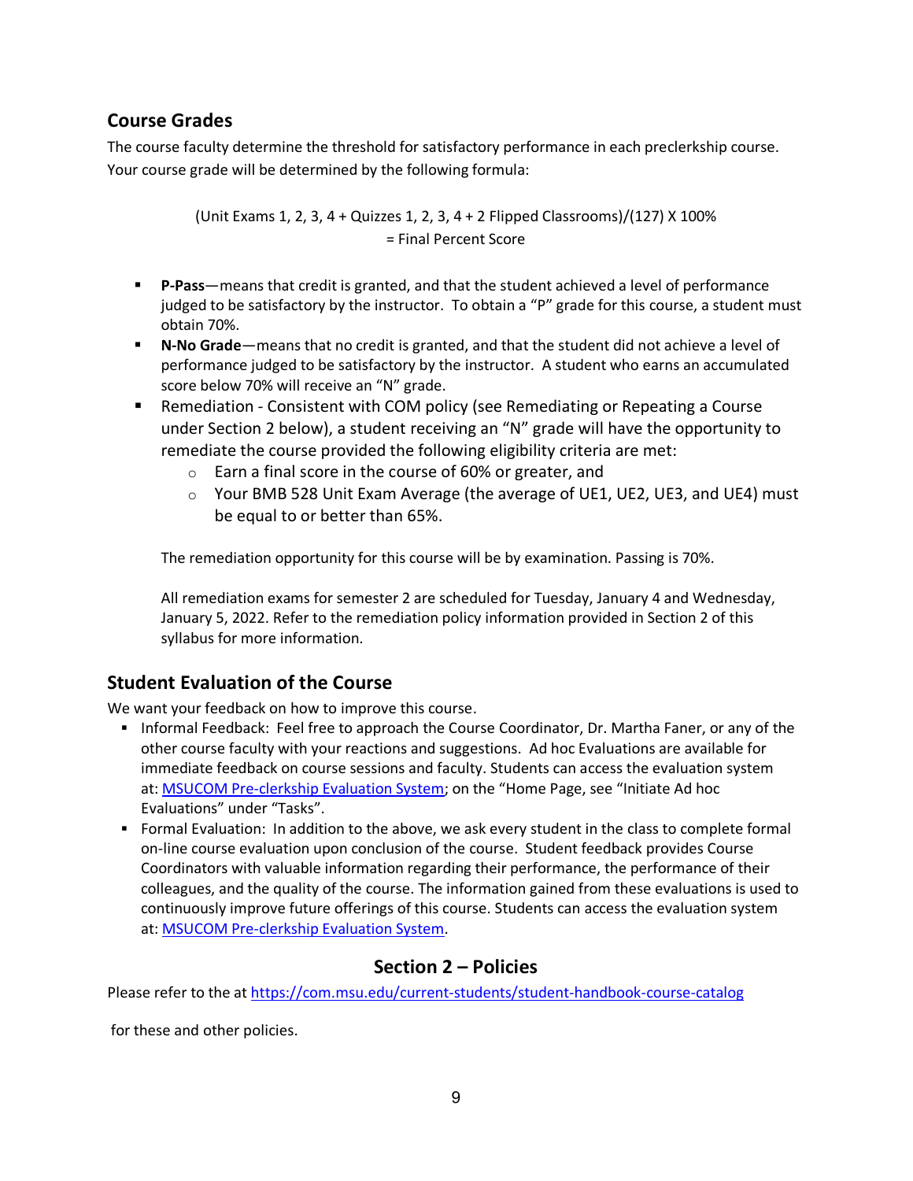## <span id="page-8-0"></span>**Course Grades**

The course faculty determine the threshold for satisfactory performance in each preclerkship course. Your course grade will be determined by the following formula:

> (Unit Exams 1, 2, 3, 4 + Quizzes 1, 2, 3, 4 + 2 Flipped Classrooms)/(127) X 100% = Final Percent Score

- **P-Pass**—means that credit is granted, and that the student achieved a level of performance judged to be satisfactory by the instructor. To obtain a "P" grade for this course, a student must obtain 70%.
- **N-No Grade**—means that no credit is granted, and that the student did not achieve a level of performance judged to be satisfactory by the instructor. A student who earns an accumulated score below 70% will receive an "N" grade.
- Remediation Consistent with COM policy (see Remediating or Repeating a Course under Section 2 below), a student receiving an "N" grade will have the opportunity to remediate the course provided the following eligibility criteria are met:
	- o Earn a final score in the course of 60% or greater, and
	- $\circ$  Your BMB 528 Unit Exam Average (the average of UE1, UE2, UE3, and UE4) must be equal to or better than 65%.

The remediation opportunity for this course will be by examination. Passing is 70%.

All remediation exams for semester 2 are scheduled for Tuesday, January 4 and Wednesday, January 5, 2022. Refer to the remediation policy information provided in Section 2 of this syllabus for more information.

## <span id="page-8-1"></span>**Student Evaluation of the Course**

We want your feedback on how to improve this course.

- Informal Feedback: Feel free to approach the Course Coordinator, Dr. Martha Faner, or any of the other course faculty with your reactions and suggestions. Ad hoc Evaluations are available for immediate feedback on course sessions and faculty. Students can access the evaluation system at: [MSUCOM Pre-clerkship Evaluation System;](https://evalue.msu.edu/) on the "Home Page, see "Initiate Ad hoc Evaluations" under "Tasks".
- Formal Evaluation: In addition to the above, we ask every student in the class to complete formal on-line course evaluation upon conclusion of the course. Student feedback provides Course Coordinators with valuable information regarding their performance, the performance of their colleagues, and the quality of the course. The information gained from these evaluations is used to continuously improve future offerings of this course. Students can access the evaluation system at: [MSUCOM Pre-clerkship Evaluation System.](https://evalue.msu.edu/)

## **Section 2 – Policies**

Please refer to the at<https://com.msu.edu/current-students/student-handbook-course-catalog>

for these and other policies.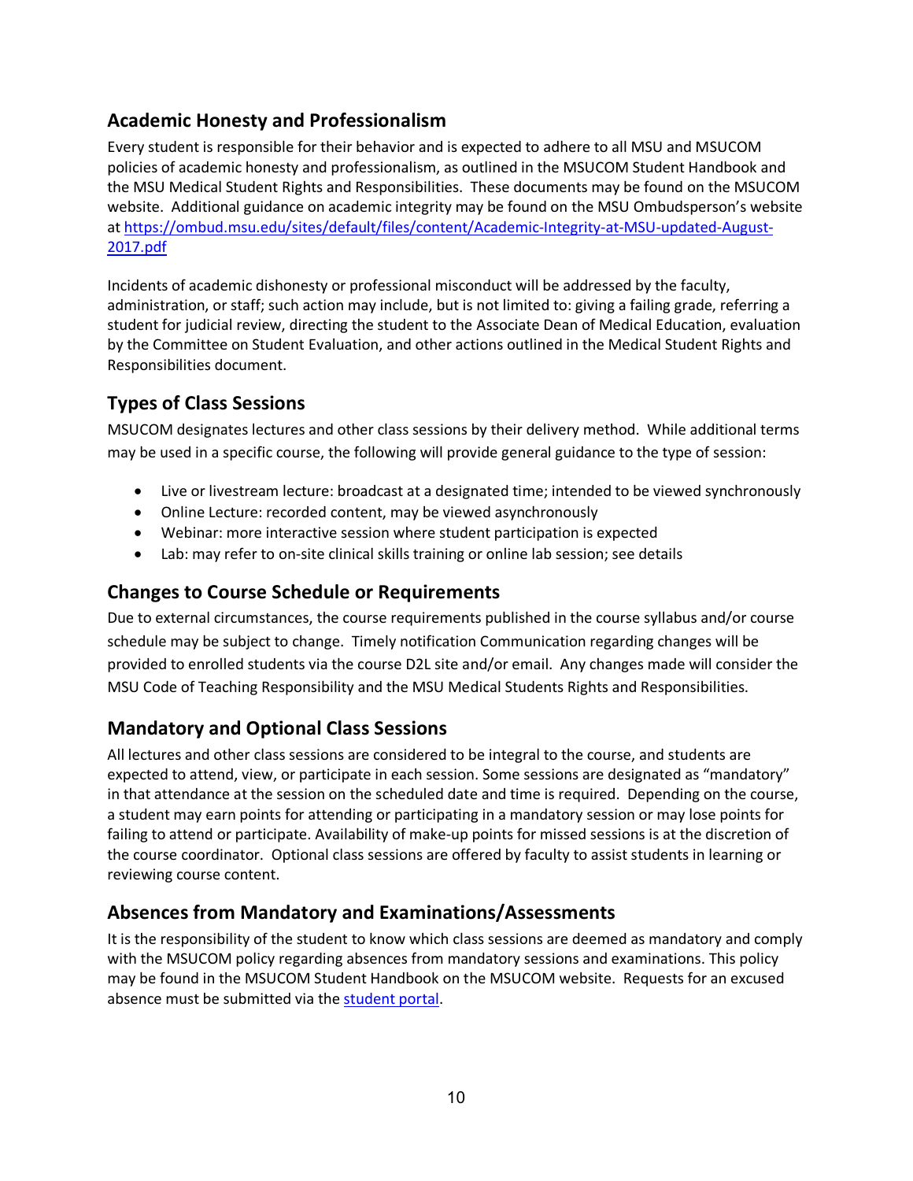# <span id="page-9-0"></span>**Academic Honesty and Professionalism**

Every student is responsible for their behavior and is expected to adhere to all MSU and MSUCOM policies of academic honesty and professionalism, as outlined in the MSUCOM Student Handbook and the MSU Medical Student Rights and Responsibilities. These documents may be found on the MSUCOM website. Additional guidance on academic integrity may be found on the MSU Ombudsperson's website at [https://ombud.msu.edu/sites/default/files/content/Academic-Integrity-at-MSU-updated-August-](https://ombud.msu.edu/sites/default/files/content/Academic-Integrity-at-MSU-updated-August-2017.pdf)[2017.pdf](https://ombud.msu.edu/sites/default/files/content/Academic-Integrity-at-MSU-updated-August-2017.pdf)

Incidents of academic dishonesty or professional misconduct will be addressed by the faculty, administration, or staff; such action may include, but is not limited to: giving a failing grade, referring a student for judicial review, directing the student to the Associate Dean of Medical Education, evaluation by the Committee on Student Evaluation, and other actions outlined in the Medical Student Rights and Responsibilities document.

# <span id="page-9-1"></span>**Types of Class Sessions**

MSUCOM designates lectures and other class sessions by their delivery method. While additional terms may be used in a specific course, the following will provide general guidance to the type of session:

- Live or livestream lecture: broadcast at a designated time; intended to be viewed synchronously
- Online Lecture: recorded content, may be viewed asynchronously
- Webinar: more interactive session where student participation is expected
- Lab: may refer to on-site clinical skills training or online lab session; see details

## **Changes to Course Schedule or Requirements**

Due to external circumstances, the course requirements published in the course syllabus and/or course schedule may be subject to change. Timely notification Communication regarding changes will be provided to enrolled students via the course D2L site and/or email. Any changes made will consider the MSU Code of Teaching Responsibility and the MSU Medical Students Rights and Responsibilities.

# <span id="page-9-2"></span>**Mandatory and Optional Class Sessions**

All lectures and other class sessions are considered to be integral to the course, and students are expected to attend, view, or participate in each session. Some sessions are designated as "mandatory" in that attendance at the session on the scheduled date and time is required. Depending on the course, a student may earn points for attending or participating in a mandatory session or may lose points for failing to attend or participate. Availability of make-up points for missed sessions is at the discretion of the course coordinator. Optional class sessions are offered by faculty to assist students in learning or reviewing course content.

## <span id="page-9-3"></span>**Absences from Mandatory and Examinations/Assessments**

It is the responsibility of the student to know which class sessions are deemed as mandatory and comply with the MSUCOM policy regarding absences from mandatory sessions and examinations. This policy may be found in the MSUCOM Student Handbook on the MSUCOM website. Requests for an excused absence must be submitted via the [student portal.](https://studentportal.com.msu.edu/)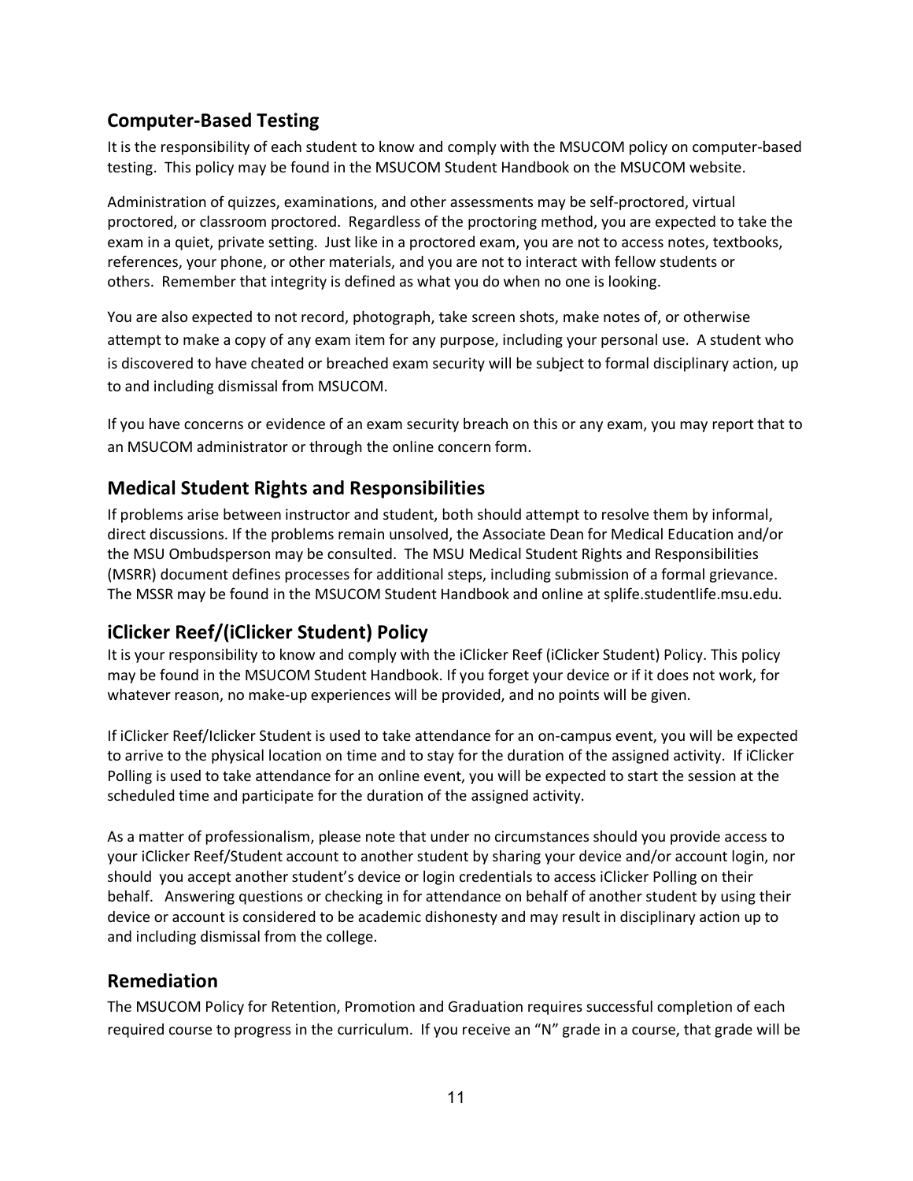## <span id="page-10-0"></span>**Computer-Based Testing**

It is the responsibility of each student to know and comply with the MSUCOM policy on computer-based testing. This policy may be found in the MSUCOM Student Handbook on the MSUCOM website.

Administration of quizzes, examinations, and other assessments may be self-proctored, virtual proctored, or classroom proctored. Regardless of the proctoring method, you are expected to take the exam in a quiet, private setting. Just like in a proctored exam, you are not to access notes, textbooks, references, your phone, or other materials, and you are not to interact with fellow students or others. Remember that integrity is defined as what you do when no one is looking.

You are also expected to not record, photograph, take screen shots, make notes of, or otherwise attempt to make a copy of any exam item for any purpose, including your personal use. A student who is discovered to have cheated or breached exam security will be subject to formal disciplinary action, up to and including dismissal from MSUCOM.

If you have concerns or evidence of an exam security breach on this or any exam, you may report that to an MSUCOM administrator or through the online concern form.

## <span id="page-10-1"></span>**Medical Student Rights and Responsibilities**

If problems arise between instructor and student, both should attempt to resolve them by informal, direct discussions. If the problems remain unsolved, the Associate Dean for Medical Education and/or the MSU Ombudsperson may be consulted. The MSU Medical Student Rights and Responsibilities (MSRR) document defines processes for additional steps, including submission of a formal grievance. The MSSR may be found in the MSUCOM Student Handbook and online at splife.studentlife.msu.edu.

## **iClicker Reef/(iClicker Student) Policy**

It is your responsibility to know and comply with the iClicker Reef (iClicker Student) Policy. This policy may be found in the MSUCOM Student Handbook. If you forget your device or if it does not work, for whatever reason, no make-up experiences will be provided, and no points will be given.

If iClicker Reef/Iclicker Student is used to take attendance for an on-campus event, you will be expected to arrive to the physical location on time and to stay for the duration of the assigned activity. If iClicker Polling is used to take attendance for an online event, you will be expected to start the session at the scheduled time and participate for the duration of the assigned activity.

As a matter of professionalism, please note that under no circumstances should you provide access to your iClicker Reef/Student account to another student by sharing your device and/or account login, nor should you accept another student's device or login credentials to access iClicker Polling on their behalf. Answering questions or checking in for attendance on behalf of another student by using their device or account is considered to be academic dishonesty and may result in disciplinary action up to and including dismissal from the college.

#### <span id="page-10-2"></span>**Remediation**

The MSUCOM Policy for Retention, Promotion and Graduation requires successful completion of each required course to progress in the curriculum. If you receive an "N" grade in a course, that grade will be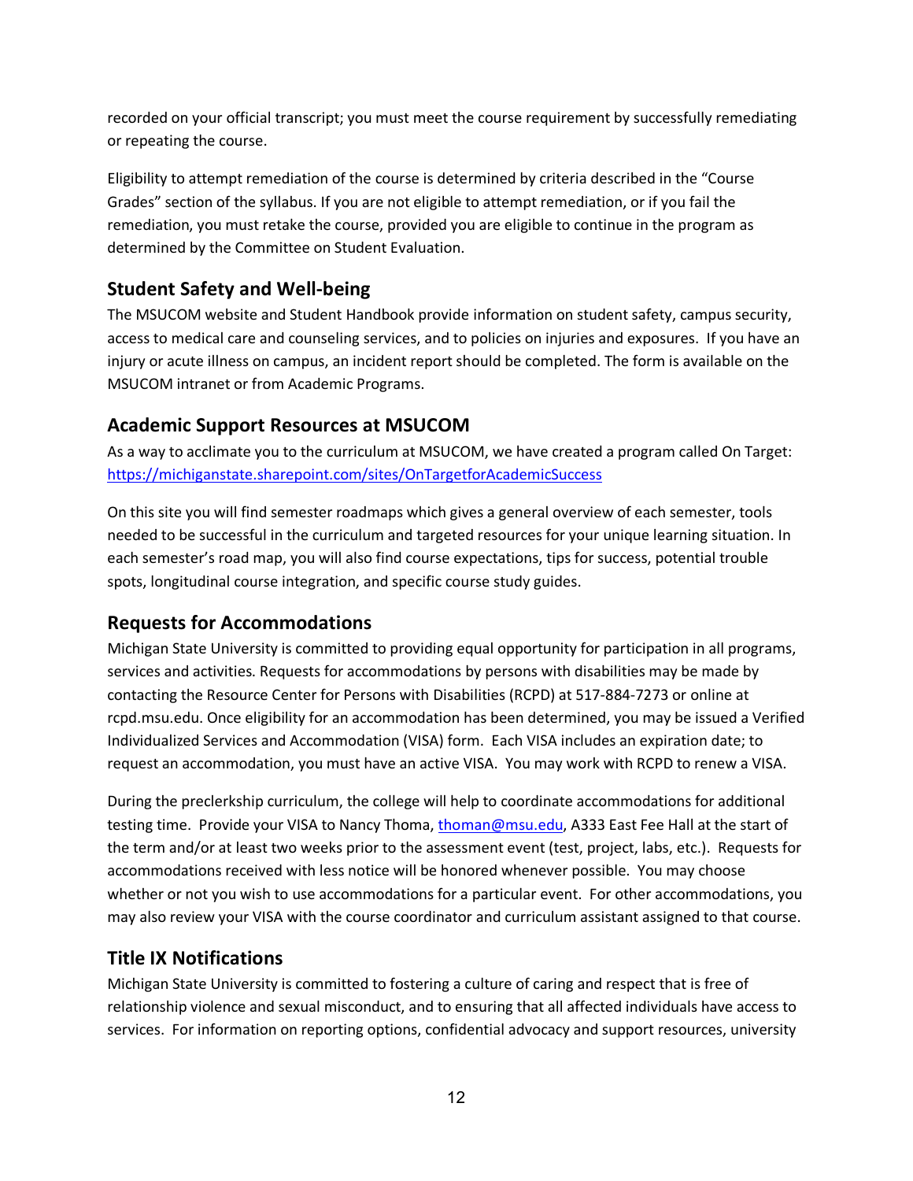recorded on your official transcript; you must meet the course requirement by successfully remediating or repeating the course.

Eligibility to attempt remediation of the course is determined by criteria described in the "Course Grades" section of the syllabus. If you are not eligible to attempt remediation, or if you fail the remediation, you must retake the course, provided you are eligible to continue in the program as determined by the Committee on Student Evaluation.

# <span id="page-11-0"></span>**Student Safety and Well-being**

The MSUCOM website and Student Handbook provide information on student safety, campus security, access to medical care and counseling services, and to policies on injuries and exposures. If you have an injury or acute illness on campus, an incident report should be completed. The form is available on the MSUCOM intranet or from Academic Programs.

# <span id="page-11-1"></span>**Academic Support Resources at MSUCOM**

As a way to acclimate you to the curriculum at MSUCOM, we have created a program called On Target: <https://michiganstate.sharepoint.com/sites/OnTargetforAcademicSuccess>

On this site you will find semester roadmaps which gives a general overview of each semester, tools needed to be successful in the curriculum and targeted resources for your unique learning situation. In each semester's road map, you will also find course expectations, tips for success, potential trouble spots, longitudinal course integration, and specific course study guides.

# <span id="page-11-2"></span>**Requests for Accommodations**

Michigan State University is committed to providing equal opportunity for participation in all programs, services and activities. Requests for accommodations by persons with disabilities may be made by contacting the Resource Center for Persons with Disabilities (RCPD) at 517-884-7273 or online at rcpd.msu.edu. Once eligibility for an accommodation has been determined, you may be issued a Verified Individualized Services and Accommodation (VISA) form. Each VISA includes an expiration date; to request an accommodation, you must have an active VISA. You may work with RCPD to renew a VISA.

During the preclerkship curriculum, the college will help to coordinate accommodations for additional testing time. Provide your VISA to Nancy Thoma, [thoman@msu.edu,](mailto:thoman@msu.edu) A333 East Fee Hall at the start of the term and/or at least two weeks prior to the assessment event (test, project, labs, etc.). Requests for accommodations received with less notice will be honored whenever possible. You may choose whether or not you wish to use accommodations for a particular event. For other accommodations, you may also review your VISA with the course coordinator and curriculum assistant assigned to that course.

# <span id="page-11-3"></span>**Title IX Notifications**

Michigan State University is committed to fostering a culture of caring and respect that is free of relationship violence and sexual misconduct, and to ensuring that all affected individuals have access to services. For information on reporting options, confidential advocacy and support resources, university